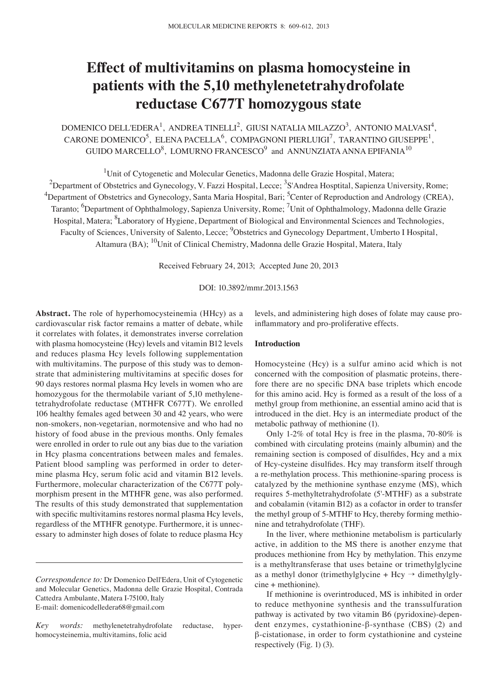# **Effect of multivitamins on plasma homocysteine in patients with the 5,10 methylenetetrahydrofolate reductase C677T homozygous state**

DOMENICO DELL'EDERA<sup>1</sup>, ANDREA TINELLI<sup>2</sup>, GIUSI NATALIA MILAZZO<sup>3</sup>, ANTONIO MALVASI<sup>4</sup>, CARONE DOMENICO<sup>5</sup>, ELENA PACELLA<sup>6</sup>, COMPAGNONI PIERLUIGI<sup>7</sup>, TARANTINO GIUSEPPE<sup>1</sup>, GUIDO MARCELLO $^8$ , LOMURNO FRANCESCO $^9$  and ANNUNZIATA ANNA EPIFANIA $^{10}$ 

<sup>1</sup>Unit of Cytogenetic and Molecular Genetics, Madonna delle Grazie Hospital, Matera;

 $^2$ Department of Obstetrics and Gynecology, V. Fazzi Hospital, Lecce;  $^3$ S'Andrea Hosptital, Sapienza University, Rome; <sup>4</sup>Department of Obstetrics and Gynecology, Santa Maria Hospital, Bari; <sup>5</sup>Center of Reproduction and Andrology (CREA), Taranto; <sup>6</sup>Department of Ophthalmology, Sapienza University, Rome; <sup>7</sup>Unit of Ophthalmology, Madonna delle Grazie Hospital, Matera; <sup>8</sup>Laboratory of Hygiene, Department of Biological and Environmental Sciences and Technologies, Faculty of Sciences, University of Salento, Lecce; <sup>9</sup>Obstetrics and Gynecology Department, Umberto I Hospital, Altamura (BA); <sup>10</sup>Unit of Clinical Chemistry, Madonna delle Grazie Hospital, Matera, Italy

Received February 24, 2013; Accepted June 20, 2013

### DOI: 10.3892/mmr.2013.1563

**Abstract.** The role of hyperhomocysteinemia (HHcy) as a cardiovascular risk factor remains a matter of debate, while it correlates with folates, it demonstrates inverse correlation with plasma homocysteine (Hcy) levels and vitamin B12 levels and reduces plasma Hcy levels following supplementation with multivitamins. The purpose of this study was to demonstrate that administering multivitamins at specific doses for 90 days restores normal plasma Hcy levels in women who are homozygous for the thermolabile variant of 5,10 methylenetetrahydrofolate reductase (MTHFR C677T). We enrolled 106 healthy females aged between 30 and 42 years, who were non-smokers, non-vegetarian, normotensive and who had no history of food abuse in the previous months. Only females were enrolled in order to rule out any bias due to the variation in Hcy plasma concentrations between males and females. Patient blood sampling was performed in order to determine plasma Hcy, serum folic acid and vitamin B12 levels. Furthermore, molecular characterization of the C677T polymorphism present in the MTHFR gene, was also performed. The results of this study demonstrated that supplementation with specific multivitamins restores normal plasma Hcy levels, regardless of the MTHFR genotype. Furthermore, it is unnecessary to adminster high doses of folate to reduce plasma Hcy

levels, and administering high doses of folate may cause proinflammatory and pro-proliferative effects.

## **Introduction**

Homocysteine (Hcy) is a sulfur amino acid which is not concerned with the composition of plasmatic proteins, therefore there are no specific DNA base triplets which encode for this amino acid. Hcy is formed as a result of the loss of a methyl group from methionine, an essential amino acid that is introduced in the diet. Hcy is an intermediate product of the metabolic pathway of methionine (1).

Only 1-2% of total Hcy is free in the plasma, 70-80% is combined with circulating proteins (mainly albumin) and the remaining section is composed of disulfides, Hcy and a mix of Hcy-cysteine disulfides. Hcy may transform itself through a re-methylation process. This methionine-sparing process is catalyzed by the methionine synthase enzyme (MS), which requires 5-methyltetrahydrofolate (5'-MTHF) as a substrate and cobalamin (vitamin B12) as a cofactor in order to transfer the methyl group of 5-MTHF to Hcy, thereby forming methionine and tetrahydrofolate (THF).

In the liver, where methionine metabolism is particularly active, in addition to the MS there is another enzyme that produces methionine from Hcy by methylation. This enzyme is a methyltransferase that uses betaine or trimethylglycine as a methyl donor (trimethylglycine + Hcy  $\rightarrow$  dimethylglycine + methionine).

If methionine is overintroduced, MS is inhibited in order to reduce methyonine synthesis and the transsulfuration pathway is activated by two vitamin B6 (pyridoxine)-dependent enzymes, cystathionine-β-synthase (CBS) (2) and β-cistationase, in order to form cystathionine and cysteine respectively (Fig. 1) (3).

*Correspondence to:* Dr Domenico Dell'Edera, Unit of Cytogenetic and Molecular Genetics, Madonna delle Grazie Hospital, Contrada Cattedra Ambulante, Matera I-75100, Italy E-mail: domenicodelledera68@gmail.com

*Key words:* methylenetetrahydrofolate reductase, hyperhomocysteinemia, multivitamins, folic acid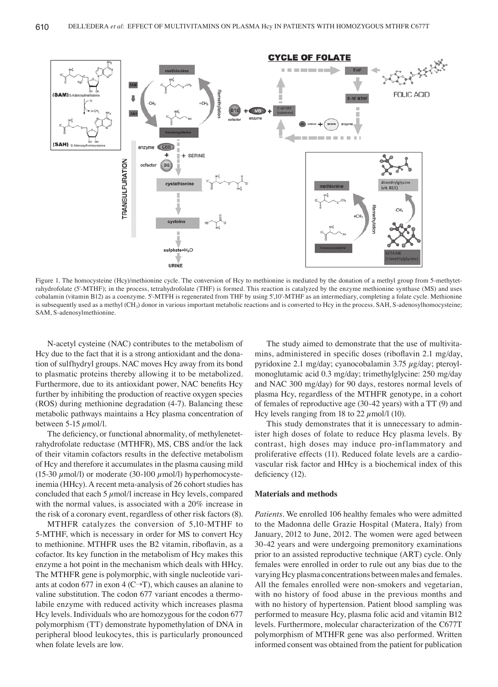

Figure 1. The homocysteine (Hcy)/methionine cycle. The conversion of Hcy to methionine is mediated by the donation of a methyl group from 5-methytetrahydrofolate (5'-MTHF); in the process, tetrahydrofolate (THF) is formed. This reaction is catalyzed by the enzyme methionine synthase (MS) and uses cobalamin (vitamin B12) as a coenzyme. 5'-MTFH is regenerated from THF by using 5',10'-MTHF as an intermediary, completing a folate cycle. Methionine is subsequently used as a methyl (CH<sub>3</sub>) donor in various important metabolic reactions and is converted to Hcy in the process. SAH, S-adenosylhomocysteine; SAM, S-adenosylmethionine.

N-acetyl cysteine (NAC) contributes to the metabolism of Hcy due to the fact that it is a strong antioxidant and the donation of sulfhydryl groups. NAC moves Hcy away from its bond to plasmatic proteins thereby allowing it to be metabolized. Furthermore, due to its antioxidant power, NAC benefits Hcy further by inhibiting the production of reactive oxygen species (ROS) during methionine degradation (4-7). Balancing these metabolic pathways maintains a Hcy plasma concentration of between  $5-15 \mu$ mol/l.

The deficiency, or functional abnormality, of methylenetetrahydrofolate reductase (MTHFR), MS, CBS and/or the lack of their vitamin cofactors results in the defective metabolism of Hcy and therefore it accumulates in the plasma causing mild (15-30  $\mu$ mol/l) or moderate (30-100  $\mu$ mol/l) hyperhomocysteinemia (HHcy). A recent meta-analysis of 26 cohort studies has concluded that each 5  $\mu$ mol/l increase in Hcy levels, compared with the normal values, is associated with a 20% increase in the risk of a coronary event, regardless of other risk factors (8).

MTHFR catalyzes the conversion of 5,10-MTHF to 5-MTHF, which is necessary in order for MS to convert Hcy to methionine. MTHFR uses the B2 vitamin, riboflavin, as a cofactor. Its key function in the metabolism of Hcy makes this enzyme a hot point in the mechanism which deals with HHcy. The MTHFR gene is polymorphic, with single nucleotide variants at codon 677 in exon 4 ( $C \rightarrow T$ ), which causes an alanine to valine substitution. The codon 677 variant encodes a thermolabile enzyme with reduced activity which increases plasma Hcy levels. Individuals who are homozygous for the codon 677 polymorphism (TT) demonstrate hypomethylation of DNA in peripheral blood leukocytes, this is particularly pronounced when folate levels are low.

The study aimed to demonstrate that the use of multivitamins, administered in specific doses (riboflavin 2.1 mg/day, pyridoxine 2.1 mg/day; cyanocobalamin 3.75 µg/day; pteroylmonoglutamic acid 0.3 mg/day; trimethylglycine: 250 mg/day and NAC 300 mg/day) for 90 days, restores normal levels of plasma Hcy, regardless of the MTHFR genotype, in a cohort of females of reproductive age (30-42 years) with a TT (9) and Hcy levels ranging from 18 to 22  $\mu$ mol/l (10).

This study demonstrates that it is unnecessary to administer high doses of folate to reduce Hcy plasma levels. By contrast, high doses may induce pro-inflammatory and proliferative effects (11). Reduced folate levels are a cardiovascular risk factor and HHcy is a biochemical index of this deficiency (12).

#### **Materials and methods**

*Patients.* We enrolled 106 healthy females who were admitted to the Madonna delle Grazie Hospital (Matera, Italy) from January, 2012 to June, 2012. The women were aged between 30-42 years and were undergoing premonitory examinations prior to an assisted reproductive technique (ART) cycle. Only females were enrolled in order to rule out any bias due to the varying Hcy plasma concentrations between males and females. All the females enrolled were non-smokers and vegetarian, with no history of food abuse in the previous months and with no history of hypertension. Patient blood sampling was performed to measure Hcy, plasma folic acid and vitamin B12 levels. Furthermore, molecular characterization of the C677T polymorphism of MTHFR gene was also performed. Written informed consent was obtained from the patient for publication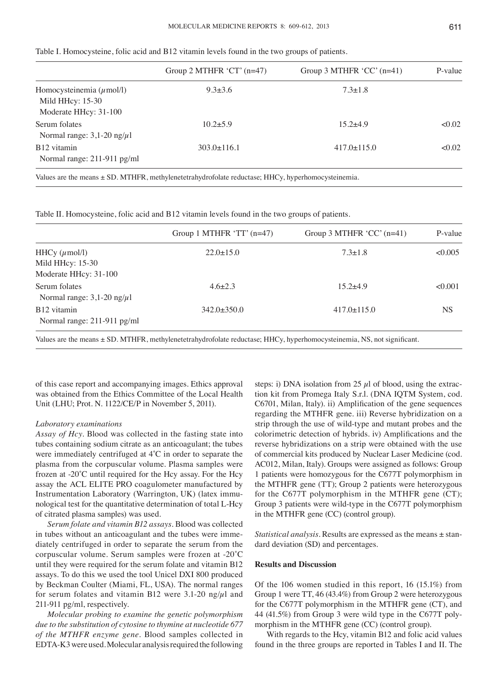| ٧                  | æ |
|--------------------|---|
| ×<br>۰.<br>۰.<br>× |   |
|                    |   |

| Table I. Homocysteine, folic acid and B12 vitamin levels found in the two groups of patients. |  |  |
|-----------------------------------------------------------------------------------------------|--|--|
|-----------------------------------------------------------------------------------------------|--|--|

| Group 2 MTHFR 'CT' $(n=47)$ | Group 3 MTHFR $^{\circ}$ CC $^{\circ}$ (n=41) | P-value |
|-----------------------------|-----------------------------------------------|---------|
| $9.3 \pm 3.6$               | $7.3 \pm 1.8$                                 |         |
| $10.2 + 5.9$                | $15.2 + 4.9$                                  | < 0.02  |
| $303.0 \pm 116.1$           | $417.0 \pm 115.0$                             | < 0.02  |
|                             |                                               |         |

Table II. Homocysteine, folic acid and B12 vitamin levels found in the two groups of patients.

| Group 1 MTHFR 'TT' $(n=47)$ | Group 3 MTHFR 'CC' $(n=41)$ | P-value   |
|-----------------------------|-----------------------------|-----------|
| $22.0 \pm 15.0$             | $7.3 \pm 1.8$               | <0.005    |
|                             |                             |           |
|                             |                             |           |
| $4.6 \pm 2.3$               | $15.2 + 4.9$                | < 0.001   |
| $342.0 \pm 350.0$           | $417.0 \pm 115.0$           | <b>NS</b> |
|                             |                             |           |

Values are the means ± SD. MTHFR, methylenetetrahydrofolate reductase; HHCy, hyperhomocysteinemia, NS, not significant.

of this case report and accompanying images. Ethics approval was obtained from the Ethics Committee of the Local Health Unit (LHU; Prot. N. 1122/CE/P in November 5, 2011).

# *Laboratory examinations*

*Assay of Hcy.* Blood was collected in the fasting state into tubes containing sodium citrate as an anticoagulant; the tubes were immediately centrifuged at 4˚C in order to separate the plasma from the corpuscular volume. Plasma samples were frozen at -20˚C until required for the Hcy assay. For the Hcy assay the ACL ELITE PRO coagulometer manufactured by Instrumentation Laboratory (Warrington, UK) (latex immunological test for the quantitative determination of total L-Hcy of citrated plasma samples) was used.

*Serum folate and vitamin B12 assays.* Blood was collected in tubes without an anticoagulant and the tubes were immediately centrifuged in order to separate the serum from the corpuscular volume. Serum samples were frozen at -20˚C until they were required for the serum folate and vitamin B12 assays. To do this we used the tool Unicel DXI 800 produced by Beckman Coulter (Miami, FL, USA). The normal ranges for serum folates and vitamin B12 were 3.1-20 ng/ $\mu$ l and 211-911 pg/ml, respectively.

*Molecular probing to examine the genetic polymorphism due to the substitution of cytosine to thymine at nucleotide 677 of the MTHFR enzyme gene.* Blood samples collected in EDTA-K3 were used. Molecular analysis required the following

steps: i) DNA isolation from 25  $\mu$ l of blood, using the extraction kit from Promega Italy S.r.l. (DNA IQTM System, cod. C6701, Milan, Italy). ii) Amplification of the gene sequences regarding the MTHFR gene. iii) Reverse hybridization on a strip through the use of wild-type and mutant probes and the colorimetric detection of hybrids. iv) Amplifications and the reverse hybridizations on a strip were obtained with the use of commercial kits produced by Nuclear Laser Medicine (cod. AC012, Milan, Italy). Groups were assigned as follows: Group 1 patients were homozygous for the C677T polymorphism in the MTHFR gene (TT); Group 2 patients were heterozygous for the C677T polymorphism in the MTHFR gene (CT); Group 3 patients were wild-type in the C677T polymorphism in the MTHFR gene (CC) (control group).

*Statistical analysis.* Results are expressed as the means ± standard deviation (SD) and percentages.

## **Results and Discussion**

Of the 106 women studied in this report, 16 (15.1%) from Group 1 were TT, 46 (43.4%) from Group 2 were heterozygous for the C677T polymorphism in the MTHFR gene (CT), and 44 (41.5%) from Group 3 were wild type in the C677T polymorphism in the MTHFR gene (CC) (control group).

With regards to the Hcy, vitamin B12 and folic acid values found in the three groups are reported in Tables I and II. The